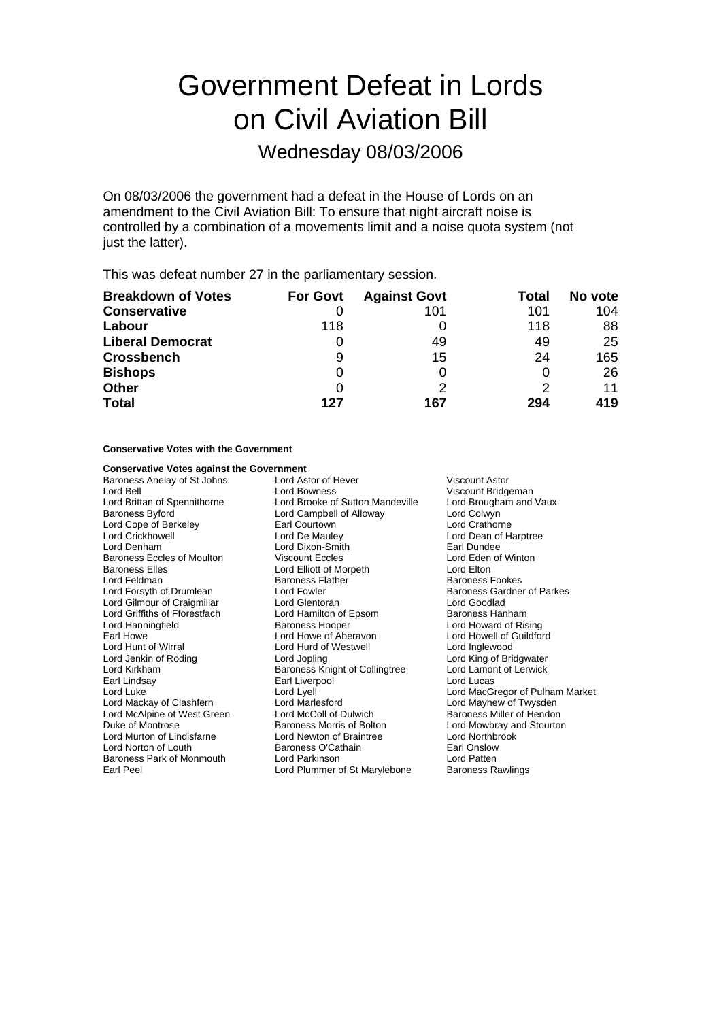# Government Defeat in Lords on Civil Aviation Bill

Wednesday 08/03/2006

On 08/03/2006 the government had a defeat in the House of Lords on an amendment to the Civil Aviation Bill: To ensure that night aircraft noise is controlled by a combination of a movements limit and a noise quota system (not just the latter).

This was defeat number 27 in the parliamentary session.

| <b>Breakdown of Votes</b> | <b>For Govt</b> | <b>Against Govt</b> | Total | No vote |
|---------------------------|-----------------|---------------------|-------|---------|
| <b>Conservative</b>       |                 | 101                 | 101   | 104     |
| Labour                    | 118             |                     | 118   | 88      |
| <b>Liberal Democrat</b>   | 0               | 49                  | 49    | 25      |
| <b>Crossbench</b>         | 9               | 15                  | 24    | 165     |
| <b>Bishops</b>            | 0               |                     | 0     | 26      |
| <b>Other</b>              | 0               |                     |       | 11      |
| <b>Total</b>              | 127             | 167                 | 294   | 419     |

### **Conservative Votes with the Government**

| <b>Conservative Votes against the Government</b> |                                  |                                   |  |
|--------------------------------------------------|----------------------------------|-----------------------------------|--|
| Baroness Anelay of St Johns                      | Lord Astor of Hever              | Viscount Astor                    |  |
| Lord Bell                                        | <b>Lord Bowness</b>              | Viscount Bridgeman                |  |
| Lord Brittan of Spennithorne                     | Lord Brooke of Sutton Mandeville | Lord Brougham and Vaux            |  |
| <b>Baroness Byford</b>                           | Lord Campbell of Alloway         | Lord Colwyn                       |  |
| Lord Cope of Berkeley                            | Earl Courtown                    | Lord Crathorne                    |  |
| <b>Lord Crickhowell</b>                          | Lord De Mauley                   | Lord Dean of Harptree             |  |
| Lord Denham                                      | Lord Dixon-Smith                 | Earl Dundee                       |  |
| <b>Baroness Eccles of Moulton</b>                | Viscount Eccles                  | Lord Eden of Winton               |  |
| <b>Baroness Elles</b>                            | Lord Elliott of Morpeth          | Lord Elton                        |  |
| Lord Feldman                                     | <b>Baroness Flather</b>          | <b>Baroness Fookes</b>            |  |
| Lord Forsyth of Drumlean                         | Lord Fowler                      | <b>Baroness Gardner of Parkes</b> |  |
| Lord Gilmour of Craigmillar                      | Lord Glentoran                   | Lord Goodlad                      |  |
| Lord Griffiths of Fforestfach                    | Lord Hamilton of Epsom           | Baroness Hanham                   |  |
| Lord Hanningfield                                | <b>Baroness Hooper</b>           | Lord Howard of Rising             |  |
| Earl Howe                                        | Lord Howe of Aberavon            | Lord Howell of Guildford          |  |
| Lord Hunt of Wirral                              | Lord Hurd of Westwell            | Lord Inglewood                    |  |
| Lord Jenkin of Roding                            | Lord Jopling                     | Lord King of Bridgwater           |  |
| Lord Kirkham                                     | Baroness Knight of Collingtree   | Lord Lamont of Lerwick            |  |
| Earl Lindsay                                     | Earl Liverpool                   | Lord Lucas                        |  |
| Lord Luke                                        | Lord Lyell                       | Lord MacGregor of Pulham Market   |  |
| Lord Mackay of Clashfern                         | <b>Lord Marlesford</b>           | Lord Mayhew of Twysden            |  |
| Lord McAlpine of West Green                      | Lord McColl of Dulwich           | Baroness Miller of Hendon         |  |
| Duke of Montrose                                 | Baroness Morris of Bolton        | Lord Mowbray and Stourton         |  |
| Lord Murton of Lindisfarne                       | Lord Newton of Braintree         | Lord Northbrook                   |  |
| Lord Norton of Louth                             | Baroness O'Cathain               | Earl Onslow                       |  |
| Baroness Park of Monmouth                        | Lord Parkinson                   | Lord Patten                       |  |
| Earl Peel                                        | Lord Plummer of St Marylebone    | Baroness Rawlings                 |  |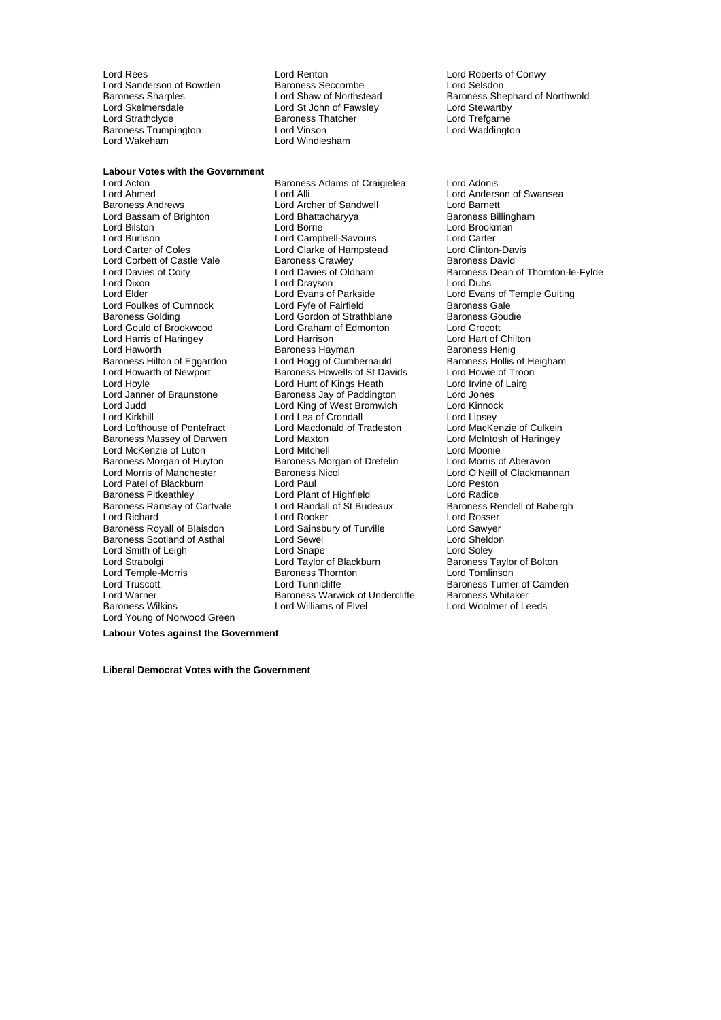Lord Sanderson of Bowden Baroness Seccombe<br>Baroness Sharples<br>Lord Shaw of Northstead Lord Skelmersdale **Lord Stelmersdale** Lord St John of Fawsley **Lord Stewartby**<br>
Lord Strathclyde **Corporation Baroness Thatcher** Lord Trefgarne Baroness Trumpington<br>Lord Wakeham

**Labour Votes with the Government**

Lord Ahmed Lord Alli Lord Alli Lord Anderson of Swansea<br>
Baroness Andrews **Lord Anderson Lord Archer of Sandwell** Lord Barnett Lord Bassam of Brighton Lord Bhatta<br>Lord Bilston Baroness Baroness Baroness Baroness Lord Bilston Lord Borrie Lord Borrie Lord Borrie Lord Brookman<br>
Lord Burlison Lord Campbell-Savours Lord Carter Lord Burlison Lord Campbell-Savours Lord Carter Lord Corbett of Castle Vale Baroness Crawley<br>
Lord Davies of Coity<br>
Lord Davies of Oldham<br>
Baroness Dean Lord Elder Lord Evans of Parkside Lord Evans of Temple Guiting Lord Foulkes of Cumnock Lord Fyfe of Fairfield Baroness Gale<br>Baroness Golding Core Lord Gordon of Strathblane Baroness Goudie Lord Gould of Brookwood Lord Graham of Edmonton Lord Grocott Lord Harris of Haringey **Lord Harrison**<br>
Lord Haworth **Chilton Barch Barch Barch Barch Barch Barch Barch Barch Barch Barch Barch Barch Barch Barch Barch Barch Barch Barch Barch Barch Barch Barch Barch Barch Barch Barch Bar** Baroness Hilton of Eggardon Lord Hogg of Cumbernauld Baroness Hollis of H<br>
Lord Howarth of Newport Baroness Howells of St Davids Lord Howie of Troon Lord Hoyle **Lord Hunt of Kings Heath** Lord Irvine of Lairg<br>
Lord Janner of Braunstone **Baroness Jay of Paddington** Lord Jones Lord Janner of Braunstone **Baroness Jay of Paddington** Lord Jones<br>Lord Judd Lord King of West Bromwich Lord Kinnock Lord Judd Lord King of West Bromwich Lord Kinnock Lord Kirkhill<br>
Lord Lord Lord Lord Lord Macdonald of Tradeston Lord MacKenzie of Culkein<br>
Lord Lofthouse of Pontefract Lord Macdonald of Tradeston Lord MacKenzie of Culkein Baroness Massey of Darwen Lord Maxton Lord Mexton Lord McIntosh of Lord McIntosh of Lord McIntosh of Lord Moonie Lord McKenzie of Luton Lord Mitchell Lord Michell Lord Moonie<br>
Baroness Morgan of Huyton Baroness Morgan of Drefelin Lord Morris of Aberavon Baroness Morgan of Huyton Baroness Morgan of Drefelin<br>
Lord Morris of Manchester Baroness Nicol Lord Patel of Blackburn Lord Paul Lord Paul Lord Peston<br>
Baroness Pitkeathley Lord Radice<br>
Lord Radice Baroness Ramsay of Cartvale Lord Randall of St Budeaux Francisco Baroness Rendell ord Rosser<br>
Lord Richard Lord Bosser Lord Baroness Rendell ord Baroness Rendell ord Basser Baroness Royall of Blaisdon Baroness Scotland of Asthal Lord Sewel **Lord Sexet Constructs Constructs** Lord Sheldon<br>
Lord Smape Cord Shape Lord Soley Lord Smith of Leigh **Lord Snape**<br>
Lord Strabolgi **Lord Taylor of Blackburn** Lord Temple-Morris Lord Truscott **Lord Tunnicliffe** Baroness Turner of Camden<br>
Lord Warner **Cammen Baroness Warwick of Undercliffe** Baroness Whitaker Lord Young of Norwood Green

Lord Rees Lord Renton Lord Roberts of Conwy Lord Strathclyde Baroness Thatcher Lord Trefgarne Lord Windlesham

Lord Acton Baroness Adams of Craigielea Lord Adonis Lord Archer of Sandwell Lord Barnett<br>
Lord Bhattacharyya Baroness Billingham Lord Clarke of Hampstead Lord Drayson<br>Lord Evans of Parkside **Lord Gordon of Strathblane** Baroness Go<br> **Lord Graham of Edmonton** Bord Grocott Baroness Hayman<br>
Lord Hogg of Cumbernauld
Baroness Hollis of Heigham Baroness Howells of St Davids Lord Macdonald of Tradeston Lord MacKenzie of Culkein<br>Lord Maxton Lord McIntosh of Haringey Baroness Nicol **Manchester Baroness Nicol Lord O'Neill** of Clackmannan<br>Lord Paul Lord Plant of Highfield<br>
Lord Randall of St Budeaux<br>
Baroness Rendell of Babergh Lord Richard (Exercise of Lord Rooker Lord Rosser Lord Rosser Lord Rosser Lord Rosser Lord Rosser Lord Sawyer Lord Taylor of Blackburn Baroness Taylor of Bolton<br>Baroness Thornton Baroness Thornton Lord Warner **Baroness Warwick of Undercliffe**<br>Baroness Wilkins **Baroness Williams of Elvel** 

Baroness Sharples **Exercise Sharples** Lord Shaw of Northstead Baroness Shephard of Northwold<br>
Lord Stelmersdale **Lord Stellers Lord Stellers** Lord Stewartby

Lord Davies of Coity **Lord Davies of Oldham** Baroness Dean of Thornton-le-Fylde<br>
Lord Dixon Lord Drayson **Lord Davies**<br>
Lord Dubs Lord Woolmer of Leeds

**Labour Votes against the Government**

**Liberal Democrat Votes with the Government**